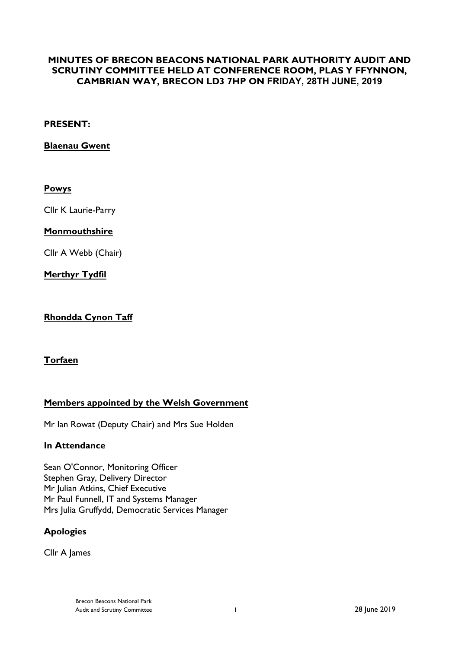# **MINUTES OF BRECON BEACONS NATIONAL PARK AUTHORITY AUDIT AND SCRUTINY COMMITTEE HELD AT CONFERENCE ROOM, PLAS Y FFYNNON, CAMBRIAN WAY, BRECON LD3 7HP ON FRIDAY, 28TH JUNE, 2019**

#### **PRESENT:**

**Blaenau Gwent**

# **Powys**

Cllr K Laurie-Parry

#### **Monmouthshire**

Cllr A Webb (Chair)

**Merthyr Tydfil**

# **Rhondda Cynon Taff**

# **Torfaen**

# **Members appointed by the Welsh Government**

Mr Ian Rowat (Deputy Chair) and Mrs Sue Holden

#### **In Attendance**

Sean O'Connor, Monitoring Officer Stephen Gray, Delivery Director Mr Julian Atkins, Chief Executive Mr Paul Funnell, IT and Systems Manager Mrs Julia Gruffydd, Democratic Services Manager

# **Apologies**

Cllr A James